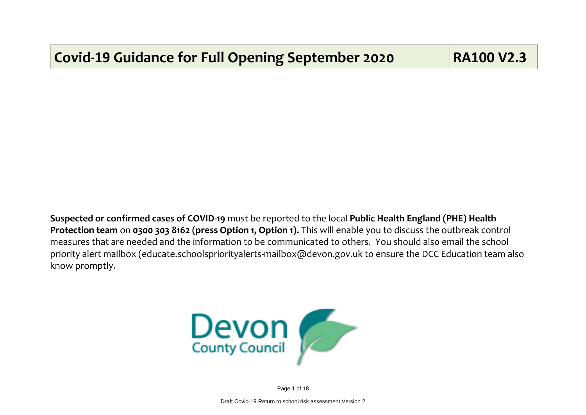**Suspected or confirmed cases of COVID-19** must be reported to the local **Public Health England (PHE) Health Protection team** on **0300 303 8162 (press Option 1, Option 1).** This will enable you to discuss the outbreak control measures that are needed and the information to be communicated to others. You should also email the school priority alert mailbox (educate.schoolspriorityalerts-mailbox@devon.gov.uk to ensure the DCC Education team also know promptly.



Page 1 of 18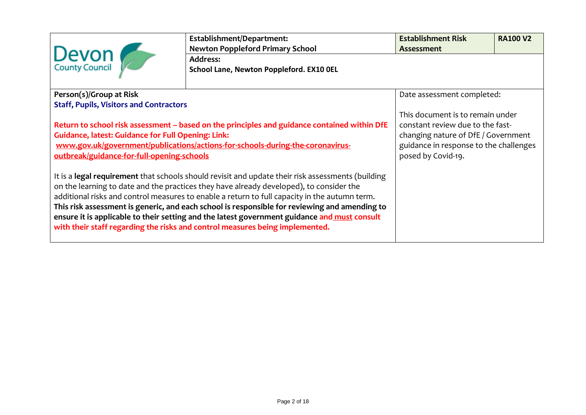|                                                                                                                                                                                                                                                                                                                                                                                                                                                                                                                                                                                | Establishment/Department:<br><b>Newton Poppleford Primary School</b> | <b>Establishment Risk</b><br>Assessment                                                                                                                                     | <b>RA100 V2</b> |  |
|--------------------------------------------------------------------------------------------------------------------------------------------------------------------------------------------------------------------------------------------------------------------------------------------------------------------------------------------------------------------------------------------------------------------------------------------------------------------------------------------------------------------------------------------------------------------------------|----------------------------------------------------------------------|-----------------------------------------------------------------------------------------------------------------------------------------------------------------------------|-----------------|--|
| Devon                                                                                                                                                                                                                                                                                                                                                                                                                                                                                                                                                                          | <b>Address:</b><br>School Lane, Newton Poppleford. EX10 OEL          |                                                                                                                                                                             |                 |  |
| Person(s)/Group at Risk                                                                                                                                                                                                                                                                                                                                                                                                                                                                                                                                                        |                                                                      | Date assessment completed:                                                                                                                                                  |                 |  |
| <b>Staff, Pupils, Visitors and Contractors</b><br>Return to school risk assessment – based on the principles and guidance contained within DfE<br><b>Guidance, latest: Guidance for Full Opening: Link:</b><br>www.gov.uk/government/publications/actions-for-schools-during-the-coronavirus-<br>outbreak/guidance-for-full-opening-schools                                                                                                                                                                                                                                    |                                                                      | This document is to remain under<br>constant review due to the fast-<br>changing nature of DfE / Government<br>guidance in response to the challenges<br>posed by Covid-19. |                 |  |
| It is a legal requirement that schools should revisit and update their risk assessments (building<br>on the learning to date and the practices they have already developed), to consider the<br>additional risks and control measures to enable a return to full capacity in the autumn term.<br>This risk assessment is generic, and each school is responsible for reviewing and amending to<br>ensure it is applicable to their setting and the latest government guidance and must consult<br>with their staff regarding the risks and control measures being implemented. |                                                                      |                                                                                                                                                                             |                 |  |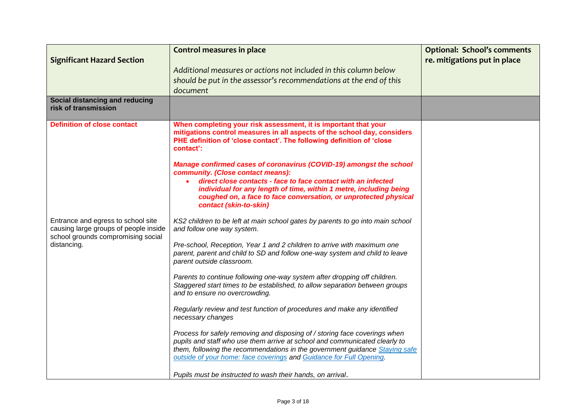| <b>Significant Hazard Section</b><br>Social distancing and reducing<br>risk of transmission                                      | <b>Control measures in place</b><br>Additional measures or actions not included in this column below<br>should be put in the assessor's recommendations at the end of this<br>document                                                                                                                                                                                                                                                                                                                                                                                                                                                                                                                                                                                                                                                                                                                                                                                             | <b>Optional: School's comments</b><br>re. mitigations put in place |
|----------------------------------------------------------------------------------------------------------------------------------|------------------------------------------------------------------------------------------------------------------------------------------------------------------------------------------------------------------------------------------------------------------------------------------------------------------------------------------------------------------------------------------------------------------------------------------------------------------------------------------------------------------------------------------------------------------------------------------------------------------------------------------------------------------------------------------------------------------------------------------------------------------------------------------------------------------------------------------------------------------------------------------------------------------------------------------------------------------------------------|--------------------------------------------------------------------|
| <b>Definition of close contact</b>                                                                                               | When completing your risk assessment, it is important that your<br>mitigations control measures in all aspects of the school day, considers<br>PHE definition of 'close contact'. The following definition of 'close<br>contact':<br>Manage confirmed cases of coronavirus (COVID-19) amongst the school<br>community. (Close contact means):<br>direct close contacts - face to face contact with an infected<br>individual for any length of time, within 1 metre, including being<br>coughed on, a face to face conversation, or unprotected physical<br>contact (skin-to-skin)                                                                                                                                                                                                                                                                                                                                                                                                 |                                                                    |
| Entrance and egress to school site<br>causing large groups of people inside<br>school grounds compromising social<br>distancing. | KS2 children to be left at main school gates by parents to go into main school<br>and follow one way system.<br>Pre-school, Reception, Year 1 and 2 children to arrive with maximum one<br>parent, parent and child to SD and follow one-way system and child to leave<br>parent outside classroom.<br>Parents to continue following one-way system after dropping off children.<br>Staggered start times to be established, to allow separation between groups<br>and to ensure no overcrowding.<br>Regularly review and test function of procedures and make any identified<br>necessary changes<br>Process for safely removing and disposing of / storing face coverings when<br>pupils and staff who use them arrive at school and communicated clearly to<br>them, following the recommendations in the government guidance Staying safe<br>outside of your home: face coverings and Guidance for Full Opening.<br>Pupils must be instructed to wash their hands, on arrival. |                                                                    |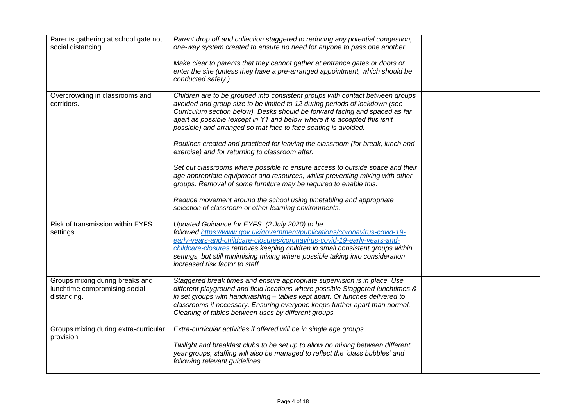| Parents gathering at school gate not<br>social distancing                       | Parent drop off and collection staggered to reducing any potential congestion,<br>one-way system created to ensure no need for anyone to pass one another                                                                                                                                                                                                                                                                                                                                                                       |  |
|---------------------------------------------------------------------------------|---------------------------------------------------------------------------------------------------------------------------------------------------------------------------------------------------------------------------------------------------------------------------------------------------------------------------------------------------------------------------------------------------------------------------------------------------------------------------------------------------------------------------------|--|
|                                                                                 | Make clear to parents that they cannot gather at entrance gates or doors or<br>enter the site (unless they have a pre-arranged appointment, which should be<br>conducted safely.)                                                                                                                                                                                                                                                                                                                                               |  |
| Overcrowding in classrooms and<br>corridors.                                    | Children are to be grouped into consistent groups with contact between groups<br>avoided and group size to be limited to 12 during periods of lockdown (see<br>Curriculum section below). Desks should be forward facing and spaced as far<br>apart as possible (except in Y1 and below where it is accepted this isn't<br>possible) and arranged so that face to face seating is avoided.<br>Routines created and practiced for leaving the classroom (for break, lunch and<br>exercise) and for returning to classroom after. |  |
|                                                                                 | Set out classrooms where possible to ensure access to outside space and their<br>age appropriate equipment and resources, whilst preventing mixing with other<br>groups. Removal of some furniture may be required to enable this.                                                                                                                                                                                                                                                                                              |  |
|                                                                                 | Reduce movement around the school using timetabling and appropriate<br>selection of classroom or other learning environments.                                                                                                                                                                                                                                                                                                                                                                                                   |  |
| Risk of transmission within EYFS<br>settings                                    | Updated Guidance for EYFS (2 July 2020) to be<br>followed.https://www.gov.uk/government/publications/coronavirus-covid-19-<br>early-years-and-childcare-closures/coronavirus-covid-19-early-years-and-<br>childcare-closures removes keeping children in small consistent groups within<br>settings, but still minimising mixing where possible taking into consideration<br>increased risk factor to staff.                                                                                                                    |  |
| Groups mixing during breaks and<br>lunchtime compromising social<br>distancing. | Staggered break times and ensure appropriate supervision is in place. Use<br>different playground and field locations where possible Staggered lunchtimes &<br>in set groups with handwashing - tables kept apart. Or lunches delivered to<br>classrooms if necessary. Ensuring everyone keeps further apart than normal.<br>Cleaning of tables between uses by different groups.                                                                                                                                               |  |
| Groups mixing during extra-curricular<br>provision                              | Extra-curricular activities if offered will be in single age groups.<br>Twilight and breakfast clubs to be set up to allow no mixing between different<br>year groups, staffing will also be managed to reflect the 'class bubbles' and<br>following relevant guidelines                                                                                                                                                                                                                                                        |  |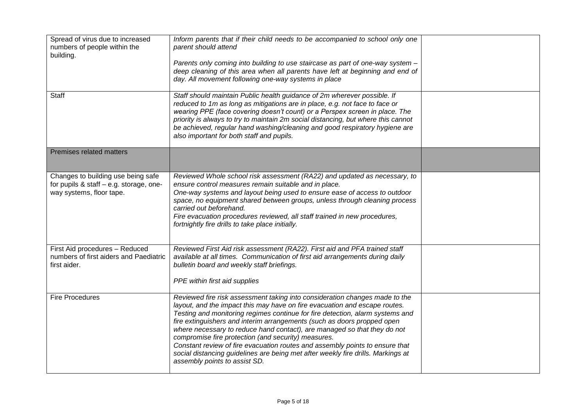| Spread of virus due to increased<br>numbers of people within the<br>building.<br><b>Staff</b>             | Inform parents that if their child needs to be accompanied to school only one<br>parent should attend<br>Parents only coming into building to use staircase as part of one-way system -<br>deep cleaning of this area when all parents have left at beginning and end of<br>day. All movement following one-way systems in place<br>Staff should maintain Public health guidance of 2m wherever possible. If                                                                                                                                                                                                                                                  |  |
|-----------------------------------------------------------------------------------------------------------|---------------------------------------------------------------------------------------------------------------------------------------------------------------------------------------------------------------------------------------------------------------------------------------------------------------------------------------------------------------------------------------------------------------------------------------------------------------------------------------------------------------------------------------------------------------------------------------------------------------------------------------------------------------|--|
|                                                                                                           | reduced to 1m as long as mitigations are in place, e.g. not face to face or<br>wearing PPE (face covering doesn't count) or a Perspex screen in place. The<br>priority is always to try to maintain 2m social distancing, but where this cannot<br>be achieved, regular hand washing/cleaning and good respiratory hygiene are<br>also important for both staff and pupils.                                                                                                                                                                                                                                                                                   |  |
| Premises related matters                                                                                  |                                                                                                                                                                                                                                                                                                                                                                                                                                                                                                                                                                                                                                                               |  |
| Changes to building use being safe<br>for pupils & staff - e.g. storage, one-<br>way systems, floor tape. | Reviewed Whole school risk assessment (RA22) and updated as necessary, to<br>ensure control measures remain suitable and in place.<br>One-way systems and layout being used to ensure ease of access to outdoor<br>space, no equipment shared between groups, unless through cleaning process<br>carried out beforehand.<br>Fire evacuation procedures reviewed, all staff trained in new procedures,<br>fortnightly fire drills to take place initially.                                                                                                                                                                                                     |  |
| First Aid procedures - Reduced<br>numbers of first aiders and Paediatric<br>first aider.                  | Reviewed First Aid risk assessment (RA22). First aid and PFA trained staff<br>available at all times. Communication of first aid arrangements during daily<br>bulletin board and weekly staff briefings.<br>PPE within first aid supplies                                                                                                                                                                                                                                                                                                                                                                                                                     |  |
| <b>Fire Procedures</b>                                                                                    | Reviewed fire risk assessment taking into consideration changes made to the<br>layout, and the impact this may have on fire evacuation and escape routes.<br>Testing and monitoring regimes continue for fire detection, alarm systems and<br>fire extinguishers and interim arrangements (such as doors propped open<br>where necessary to reduce hand contact), are managed so that they do not<br>compromise fire protection (and security) measures.<br>Constant review of fire evacuation routes and assembly points to ensure that<br>social distancing guidelines are being met after weekly fire drills. Markings at<br>assembly points to assist SD. |  |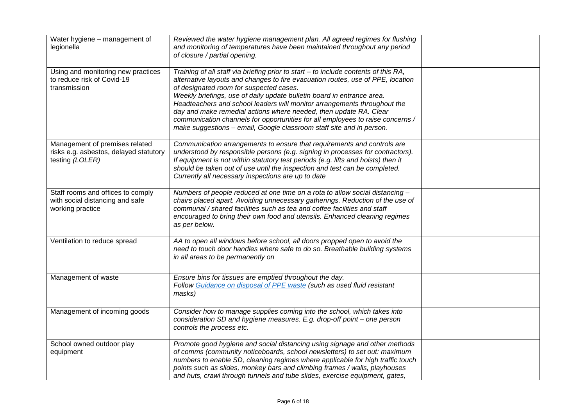| Water hygiene - management of<br>legionella                                                 | Reviewed the water hygiene management plan. All agreed regimes for flushing<br>and monitoring of temperatures have been maintained throughout any period<br>of closure / partial opening.                                                                                                                                                                                                                                                                                                                                                                                                              |  |
|---------------------------------------------------------------------------------------------|--------------------------------------------------------------------------------------------------------------------------------------------------------------------------------------------------------------------------------------------------------------------------------------------------------------------------------------------------------------------------------------------------------------------------------------------------------------------------------------------------------------------------------------------------------------------------------------------------------|--|
| Using and monitoring new practices<br>to reduce risk of Covid-19<br>transmission            | Training of all staff via briefing prior to start - to include contents of this RA,<br>alternative layouts and changes to fire evacuation routes, use of PPE, location<br>of designated room for suspected cases.<br>Weekly briefings, use of daily update bulletin board in entrance area.<br>Headteachers and school leaders will monitor arrangements throughout the<br>day and make remedial actions where needed, then update RA. Clear<br>communication channels for opportunities for all employees to raise concerns /<br>make suggestions - email, Google classroom staff site and in person. |  |
| Management of premises related<br>risks e.g. asbestos, delayed statutory<br>testing (LOLER) | Communication arrangements to ensure that requirements and controls are<br>understood by responsible persons (e.g. signing in processes for contractors).<br>If equipment is not within statutory test periods (e.g. lifts and hoists) then it<br>should be taken out of use until the inspection and test can be completed.<br>Currently all necessary inspections are up to date                                                                                                                                                                                                                     |  |
| Staff rooms and offices to comply<br>with social distancing and safe<br>working practice    | Numbers of people reduced at one time on a rota to allow social distancing -<br>chairs placed apart. Avoiding unnecessary gatherings. Reduction of the use of<br>communal / shared facilities such as tea and coffee facilities and staff<br>encouraged to bring their own food and utensils. Enhanced cleaning regimes<br>as per below.                                                                                                                                                                                                                                                               |  |
| Ventilation to reduce spread                                                                | AA to open all windows before school, all doors propped open to avoid the<br>need to touch door handles where safe to do so. Breathable building systems<br>in all areas to be permanently on                                                                                                                                                                                                                                                                                                                                                                                                          |  |
| Management of waste                                                                         | Ensure bins for tissues are emptied throughout the day.<br>Follow Guidance on disposal of PPE waste (such as used fluid resistant<br>masks)                                                                                                                                                                                                                                                                                                                                                                                                                                                            |  |
| Management of incoming goods                                                                | Consider how to manage supplies coming into the school, which takes into<br>consideration SD and hygiene measures. E.g. drop-off point - one person<br>controls the process etc.                                                                                                                                                                                                                                                                                                                                                                                                                       |  |
| School owned outdoor play<br>equipment                                                      | Promote good hygiene and social distancing using signage and other methods<br>of comms (community noticeboards, school newsletters) to set out: maximum<br>numbers to enable SD, cleaning regimes where applicable for high traffic touch<br>points such as slides, monkey bars and climbing frames / walls, playhouses<br>and huts, crawl through tunnels and tube slides, exercise equipment, gates,                                                                                                                                                                                                 |  |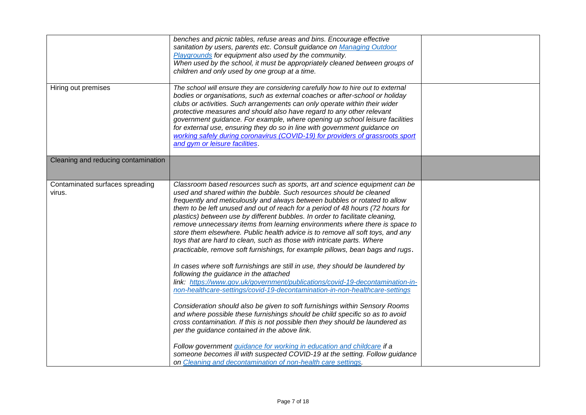|                                           | benches and picnic tables, refuse areas and bins. Encourage effective<br>sanitation by users, parents etc. Consult guidance on Managing Outdoor<br>Playgrounds for equipment also used by the community.<br>When used by the school, it must be appropriately cleaned between groups of<br>children and only used by one group at a time.                                                                                                                                                                                                                                                                                                                                                                                                                                                                                                                                                                                                                                                                                                                                                                                                                                                                                                                                                                                                                                                                                                                                                                                                           |  |
|-------------------------------------------|-----------------------------------------------------------------------------------------------------------------------------------------------------------------------------------------------------------------------------------------------------------------------------------------------------------------------------------------------------------------------------------------------------------------------------------------------------------------------------------------------------------------------------------------------------------------------------------------------------------------------------------------------------------------------------------------------------------------------------------------------------------------------------------------------------------------------------------------------------------------------------------------------------------------------------------------------------------------------------------------------------------------------------------------------------------------------------------------------------------------------------------------------------------------------------------------------------------------------------------------------------------------------------------------------------------------------------------------------------------------------------------------------------------------------------------------------------------------------------------------------------------------------------------------------------|--|
| Hiring out premises                       | The school will ensure they are considering carefully how to hire out to external<br>bodies or organisations, such as external coaches or after-school or holiday<br>clubs or activities. Such arrangements can only operate within their wider<br>protective measures and should also have regard to any other relevant<br>government guidance. For example, where opening up school leisure facilities<br>for external use, ensuring they do so in line with government guidance on<br>working safely during coronavirus (COVID-19) for providers of grassroots sport<br>and gym or leisure facilities.                                                                                                                                                                                                                                                                                                                                                                                                                                                                                                                                                                                                                                                                                                                                                                                                                                                                                                                                           |  |
| Cleaning and reducing contamination       |                                                                                                                                                                                                                                                                                                                                                                                                                                                                                                                                                                                                                                                                                                                                                                                                                                                                                                                                                                                                                                                                                                                                                                                                                                                                                                                                                                                                                                                                                                                                                     |  |
| Contaminated surfaces spreading<br>virus. | Classroom based resources such as sports, art and science equipment can be<br>used and shared within the bubble. Such resources should be cleaned<br>frequently and meticulously and always between bubbles or rotated to allow<br>them to be left unused and out of reach for a period of 48 hours (72 hours for<br>plastics) between use by different bubbles. In order to facilitate cleaning,<br>remove unnecessary items from learning environments where there is space to<br>store them elsewhere. Public health advice is to remove all soft toys, and any<br>toys that are hard to clean, such as those with intricate parts. Where<br>practicable, remove soft furnishings, for example pillows, bean bags and rugs.<br>In cases where soft furnishings are still in use, they should be laundered by<br>following the guidance in the attached<br>link: https://www.gov.uk/government/publications/covid-19-decontamination-in-<br>non-healthcare-settings/covid-19-decontamination-in-non-healthcare-settings<br>Consideration should also be given to soft furnishings within Sensory Rooms<br>and where possible these furnishings should be child specific so as to avoid<br>cross contamination. If this is not possible then they should be laundered as<br>per the guidance contained in the above link.<br>Follow government guidance for working in education and childcare if a<br>someone becomes ill with suspected COVID-19 at the setting. Follow guidance<br>on Cleaning and decontamination of non-health care settings. |  |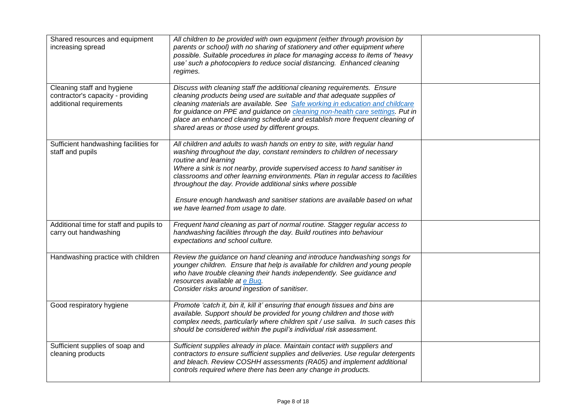| Shared resources and equipment<br>increasing spread                                        | All children to be provided with own equipment (either through provision by<br>parents or school) with no sharing of stationery and other equipment where<br>possible. Suitable procedures in place for managing access to items of 'heavy<br>use' such a photocopiers to reduce social distancing. Enhanced cleaning<br>regimes.                                                                                                                                                                                                 |  |
|--------------------------------------------------------------------------------------------|-----------------------------------------------------------------------------------------------------------------------------------------------------------------------------------------------------------------------------------------------------------------------------------------------------------------------------------------------------------------------------------------------------------------------------------------------------------------------------------------------------------------------------------|--|
| Cleaning staff and hygiene<br>contractor's capacity - providing<br>additional requirements | Discuss with cleaning staff the additional cleaning requirements. Ensure<br>cleaning products being used are suitable and that adequate supplies of<br>cleaning materials are available. See Safe working in education and childcare<br>for guidance on PPE and guidance on cleaning non-health care settings. Put in<br>place an enhanced cleaning schedule and establish more frequent cleaning of<br>shared areas or those used by different groups.                                                                           |  |
| Sufficient handwashing facilities for<br>staff and pupils                                  | All children and adults to wash hands on entry to site, with regular hand<br>washing throughout the day, constant reminders to children of necessary<br>routine and learning<br>Where a sink is not nearby, provide supervised access to hand sanitiser in<br>classrooms and other learning environments. Plan in regular access to facilities<br>throughout the day. Provide additional sinks where possible<br>Ensure enough handwash and sanitiser stations are available based on what<br>we have learned from usage to date. |  |
| Additional time for staff and pupils to<br>carry out handwashing                           | Frequent hand cleaning as part of normal routine. Stagger regular access to<br>handwashing facilities through the day. Build routines into behaviour<br>expectations and school culture.                                                                                                                                                                                                                                                                                                                                          |  |
| Handwashing practice with children                                                         | Review the guidance on hand cleaning and introduce handwashing songs for<br>younger children. Ensure that help is available for children and young people<br>who have trouble cleaning their hands independently. See guidance and<br>resources available at e Bug.<br>Consider risks around ingestion of sanitiser.                                                                                                                                                                                                              |  |
| Good respiratory hygiene                                                                   | Promote 'catch it, bin it, kill it' ensuring that enough tissues and bins are<br>available. Support should be provided for young children and those with<br>complex needs, particularly where children spit / use saliva. In such cases this<br>should be considered within the pupil's individual risk assessment.                                                                                                                                                                                                               |  |
| Sufficient supplies of soap and<br>cleaning products                                       | Sufficient supplies already in place. Maintain contact with suppliers and<br>contractors to ensure sufficient supplies and deliveries. Use regular detergents<br>and bleach. Review COSHH assessments (RA05) and implement additional<br>controls required where there has been any change in products.                                                                                                                                                                                                                           |  |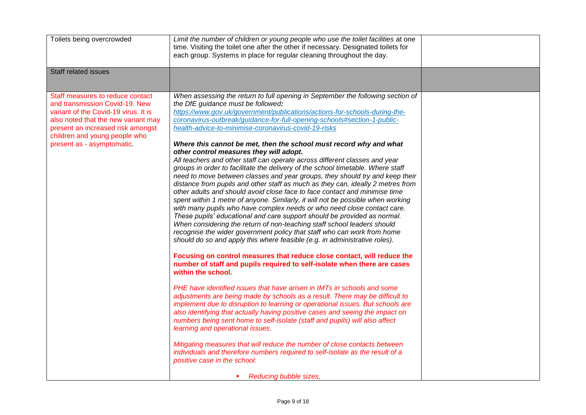| Toilets being overcrowded                                                                                                                                                                                                                             | Limit the number of children or young people who use the toilet facilities at one<br>time. Visiting the toilet one after the other if necessary. Designated toilets for<br>each group. Systems in place for regular cleaning throughout the day.                                                                                                                                                                                                                                                                                                                                                                                                                                                                                                                                                                                                                                                                                                                                                                                                                                                                                                                                                                                                                                                                                                                                                                                                                                                                                                                                                                                                                                                                                                                                                                                                                                                                                                                                                                                                                                                                                                                                                                                           |  |
|-------------------------------------------------------------------------------------------------------------------------------------------------------------------------------------------------------------------------------------------------------|--------------------------------------------------------------------------------------------------------------------------------------------------------------------------------------------------------------------------------------------------------------------------------------------------------------------------------------------------------------------------------------------------------------------------------------------------------------------------------------------------------------------------------------------------------------------------------------------------------------------------------------------------------------------------------------------------------------------------------------------------------------------------------------------------------------------------------------------------------------------------------------------------------------------------------------------------------------------------------------------------------------------------------------------------------------------------------------------------------------------------------------------------------------------------------------------------------------------------------------------------------------------------------------------------------------------------------------------------------------------------------------------------------------------------------------------------------------------------------------------------------------------------------------------------------------------------------------------------------------------------------------------------------------------------------------------------------------------------------------------------------------------------------------------------------------------------------------------------------------------------------------------------------------------------------------------------------------------------------------------------------------------------------------------------------------------------------------------------------------------------------------------------------------------------------------------------------------------------------------------|--|
| Staff related issues                                                                                                                                                                                                                                  |                                                                                                                                                                                                                                                                                                                                                                                                                                                                                                                                                                                                                                                                                                                                                                                                                                                                                                                                                                                                                                                                                                                                                                                                                                                                                                                                                                                                                                                                                                                                                                                                                                                                                                                                                                                                                                                                                                                                                                                                                                                                                                                                                                                                                                            |  |
| Staff measures to reduce contact<br>and transmission Covid-19. New<br>variant of the Covid-19 virus. It is<br>also noted that the new variant may<br>present an increased risk amongst<br>children and young people who<br>present as - asymptomatic. | When assessing the return to full opening in September the following section of<br>the DfE guidance must be followed:<br>https://www.gov.uk/government/publications/actions-for-schools-during-the-<br>coronavirus-outbreak/guidance-for-full-opening-schools#section-1-public-<br>health-advice-to-minimise-coronavirus-covid-19-risks<br>Where this cannot be met, then the school must record why and what<br>other control measures they will adopt.<br>All teachers and other staff can operate across different classes and year<br>groups in order to facilitate the delivery of the school timetable. Where staff<br>need to move between classes and year groups, they should try and keep their<br>distance from pupils and other staff as much as they can, ideally 2 metres from<br>other adults and should avoid close face to face contact and minimise time<br>spent within 1 metre of anyone. Similarly, it will not be possible when working<br>with many pupils who have complex needs or who need close contact care.<br>These pupils' educational and care support should be provided as normal.<br>When considering the return of non-teaching staff school leaders should<br>recognise the wider government policy that staff who can work from home<br>should do so and apply this where feasible (e.g. in administrative roles).<br>Focusing on control measures that reduce close contact, will reduce the<br>number of staff and pupils required to self-isolate when there are cases<br>within the school.<br>PHE have identified issues that have arisen in IMTs in schools and some<br>adjustments are being made by schools as a result. There may be difficult to<br>implement due to disruption to learning or operational issues. But schools are<br>also identifying that actually having positive cases and seeing the impact on<br>numbers being sent home to self-isolate (staff and pupils) will also affect<br>learning and operational issues.<br>Mitigating measures that will reduce the number of close contacts between<br>individuals and therefore numbers required to self-isolate as the result of a<br>positive case in the school:<br>Reducing bubble sizes,<br>$\mathcal{L}_{\rm{max}}$ |  |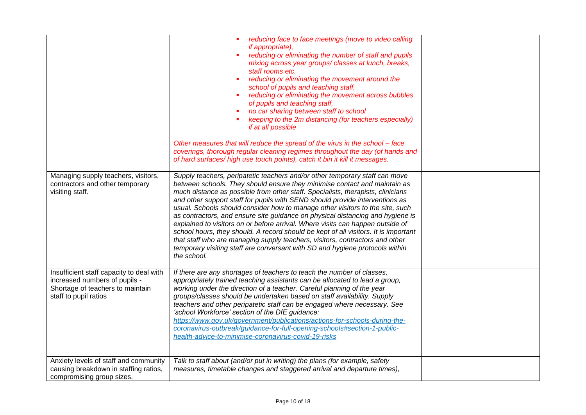|                                                                                                                                        | reducing face to face meetings (move to video calling<br><i>if appropriate),</i><br>reducing or eliminating the number of staff and pupils<br>mixing across year groups/classes at lunch, breaks,<br>staff rooms etc.<br>reducing or eliminating the movement around the<br>school of pupils and teaching staff,<br>reducing or eliminating the movement across bubbles<br>of pupils and teaching staff,<br>no car sharing between staff to school<br>keeping to the 2m distancing (for teachers especially)<br>if at all possible<br>Other measures that will reduce the spread of the virus in the school - face<br>coverings, thorough regular cleaning regimes throughout the day (of hands and<br>of hard surfaces/ high use touch points), catch it bin it kill it messages.                                                                     |  |
|----------------------------------------------------------------------------------------------------------------------------------------|--------------------------------------------------------------------------------------------------------------------------------------------------------------------------------------------------------------------------------------------------------------------------------------------------------------------------------------------------------------------------------------------------------------------------------------------------------------------------------------------------------------------------------------------------------------------------------------------------------------------------------------------------------------------------------------------------------------------------------------------------------------------------------------------------------------------------------------------------------|--|
| Managing supply teachers, visitors,<br>contractors and other temporary<br>visiting staff.                                              | Supply teachers, peripatetic teachers and/or other temporary staff can move<br>between schools. They should ensure they minimise contact and maintain as<br>much distance as possible from other staff. Specialists, therapists, clinicians<br>and other support staff for pupils with SEND should provide interventions as<br>usual. Schools should consider how to manage other visitors to the site, such<br>as contractors, and ensure site guidance on physical distancing and hygiene is<br>explained to visitors on or before arrival. Where visits can happen outside of<br>school hours, they should. A record should be kept of all visitors. It is important<br>that staff who are managing supply teachers, visitors, contractors and other<br>temporary visiting staff are conversant with SD and hygiene protocols within<br>the school. |  |
| Insufficient staff capacity to deal with<br>increased numbers of pupils -<br>Shortage of teachers to maintain<br>staff to pupil ratios | If there are any shortages of teachers to teach the number of classes,<br>appropriately trained teaching assistants can be allocated to lead a group,<br>working under the direction of a teacher. Careful planning of the year<br>groups/classes should be undertaken based on staff availability. Supply<br>teachers and other peripatetic staff can be engaged where necessary. See<br>'school Workforce' section of the DfE guidance:<br>https://www.gov.uk/government/publications/actions-for-schools-during-the-<br>coronavirus-outbreak/guidance-for-full-opening-schools#section-1-public-<br>health-advice-to-minimise-coronavirus-covid-19-risks                                                                                                                                                                                            |  |
| Anxiety levels of staff and community<br>causing breakdown in staffing ratios,<br>compromising group sizes.                            | Talk to staff about (and/or put in writing) the plans (for example, safety<br>measures, timetable changes and staggered arrival and departure times),                                                                                                                                                                                                                                                                                                                                                                                                                                                                                                                                                                                                                                                                                                  |  |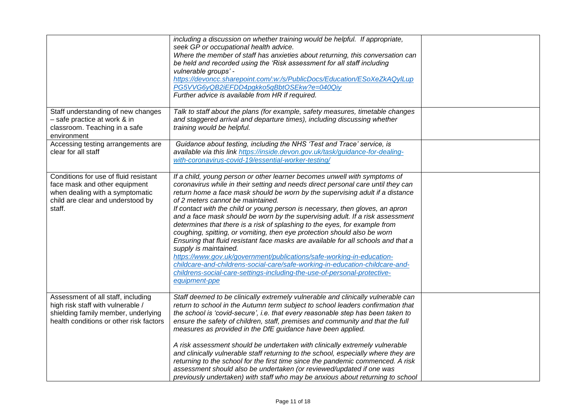|                                                                                                                                                           | including a discussion on whether training would be helpful. If appropriate,<br>seek GP or occupational health advice.<br>Where the member of staff has anxieties about returning, this conversation can<br>be held and recorded using the 'Risk assessment for all staff including<br>vulnerable groups' -<br>https://devoncc.sharepoint.com/:w:/s/PublicDocs/Education/ESoXeZkAQylLup<br>PG5VVG6yQB2iEFDD4pgkko5qBbtOSEkw?e=040Qiy<br>Further advice is available from HR if required.                                                                                                                                                                                                                                                                                                                                                                                                                                                                                            |  |
|-----------------------------------------------------------------------------------------------------------------------------------------------------------|-------------------------------------------------------------------------------------------------------------------------------------------------------------------------------------------------------------------------------------------------------------------------------------------------------------------------------------------------------------------------------------------------------------------------------------------------------------------------------------------------------------------------------------------------------------------------------------------------------------------------------------------------------------------------------------------------------------------------------------------------------------------------------------------------------------------------------------------------------------------------------------------------------------------------------------------------------------------------------------|--|
| Staff understanding of new changes<br>- safe practice at work & in<br>classroom. Teaching in a safe<br>environment                                        | Talk to staff about the plans (for example, safety measures, timetable changes<br>and staggered arrival and departure times), including discussing whether<br>training would be helpful.                                                                                                                                                                                                                                                                                                                                                                                                                                                                                                                                                                                                                                                                                                                                                                                            |  |
| Accessing testing arrangements are<br>clear for all staff                                                                                                 | Guidance about testing, including the NHS 'Test and Trace' service, is<br>available via this link https://inside.devon.gov.uk/task/guidance-for-dealing-<br>with-coronavirus-covid-19/essential-worker-testing/                                                                                                                                                                                                                                                                                                                                                                                                                                                                                                                                                                                                                                                                                                                                                                     |  |
| Conditions for use of fluid resistant<br>face mask and other equipment<br>when dealing with a symptomatic<br>child are clear and understood by<br>staff.  | If a child, young person or other learner becomes unwell with symptoms of<br>coronavirus while in their setting and needs direct personal care until they can<br>return home a face mask should be worn by the supervising adult if a distance<br>of 2 meters cannot be maintained.<br>If contact with the child or young person is necessary, then gloves, an apron<br>and a face mask should be worn by the supervising adult. If a risk assessment<br>determines that there is a risk of splashing to the eyes, for example from<br>coughing, spitting, or vomiting, then eye protection should also be worn<br>Ensuring that fluid resistant face masks are available for all schools and that a<br>supply is maintained.<br>https://www.gov.uk/government/publications/safe-working-in-education-<br>childcare-and-childrens-social-care/safe-working-in-education-childcare-and-<br>childrens-social-care-settings-including-the-use-of-personal-protective-<br>equipment-ppe |  |
| Assessment of all staff, including<br>high risk staff with vulnerable /<br>shielding family member, underlying<br>health conditions or other risk factors | Staff deemed to be clinically extremely vulnerable and clinically vulnerable can<br>return to school in the Autumn term subject to school leaders confirmation that<br>the school is 'covid-secure', i.e. that every reasonable step has been taken to<br>ensure the safety of children, staff, premises and community and that the full<br>measures as provided in the DfE guidance have been applied.<br>A risk assessment should be undertaken with clinically extremely vulnerable<br>and clinically vulnerable staff returning to the school, especially where they are<br>returning to the school for the first time since the pandemic commenced. A risk<br>assessment should also be undertaken (or reviewed/updated if one was<br>previously undertaken) with staff who may be anxious about returning to school                                                                                                                                                           |  |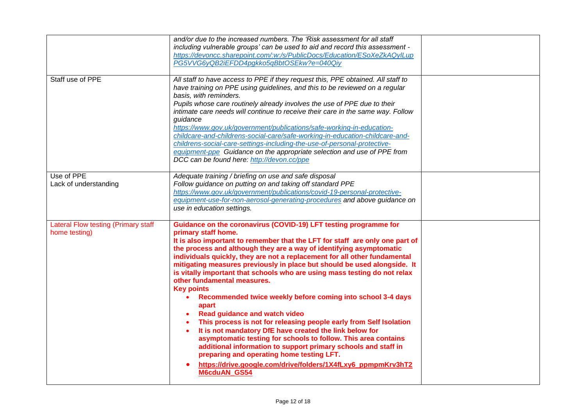|                                                             | and/or due to the increased numbers. The 'Risk assessment for all staff<br>including vulnerable groups' can be used to aid and record this assessment -<br>https://devoncc.sharepoint.com/:w:/s/PublicDocs/Education/ESoXeZkAQyILup<br>PG5VVG6yQB2iEFDD4pgkko5qBbtOSEkw?e=040Qiy                                                                                                                                                                                                                                                                                                                                                                                                                                                                                                                                                                                                                                                                                                                                                                                  |  |
|-------------------------------------------------------------|-------------------------------------------------------------------------------------------------------------------------------------------------------------------------------------------------------------------------------------------------------------------------------------------------------------------------------------------------------------------------------------------------------------------------------------------------------------------------------------------------------------------------------------------------------------------------------------------------------------------------------------------------------------------------------------------------------------------------------------------------------------------------------------------------------------------------------------------------------------------------------------------------------------------------------------------------------------------------------------------------------------------------------------------------------------------|--|
| Staff use of PPE                                            | All staff to have access to PPE if they request this, PPE obtained. All staff to<br>have training on PPE using guidelines, and this to be reviewed on a regular<br>basis, with reminders.<br>Pupils whose care routinely already involves the use of PPE due to their<br>intimate care needs will continue to receive their care in the same way. Follow<br>guidance<br>https://www.gov.uk/government/publications/safe-working-in-education-<br>childcare-and-childrens-social-care/safe-working-in-education-childcare-and-<br>childrens-social-care-settings-including-the-use-of-personal-protective-<br>equipment-ppe Guidance on the appropriate selection and use of PPE from<br>DCC can be found here: http://devon.cc/ppe                                                                                                                                                                                                                                                                                                                                |  |
| Use of PPE<br>Lack of understanding                         | Adequate training / briefing on use and safe disposal<br>Follow guidance on putting on and taking off standard PPE<br>https://www.gov.uk/government/publications/covid-19-personal-protective-<br>equipment-use-for-non-aerosol-generating-procedures and above guidance on<br>use in education settings.                                                                                                                                                                                                                                                                                                                                                                                                                                                                                                                                                                                                                                                                                                                                                         |  |
| <b>Lateral Flow testing (Primary staff</b><br>home testing) | Guidance on the coronavirus (COVID-19) LFT testing programme for<br>primary staff home.<br>It is also important to remember that the LFT for staff are only one part of<br>the process and although they are a way of identifying asymptomatic<br>individuals quickly, they are not a replacement for all other fundamental<br>mitigating measures previously in place but should be used alongside. It<br>is vitally important that schools who are using mass testing do not relax<br>other fundamental measures.<br><b>Key points</b><br>Recommended twice weekly before coming into school 3-4 days<br>apart<br><b>Read guidance and watch video</b><br>This process is not for releasing people early from Self Isolation<br>It is not mandatory DfE have created the link below for<br>asymptomatic testing for schools to follow. This area contains<br>additional information to support primary schools and staff in<br>preparing and operating home testing LFT.<br>https://drive.google.com/drive/folders/1X4fLxy6_ppmpmKrv3hT2<br><b>M6cduAN GS54</b> |  |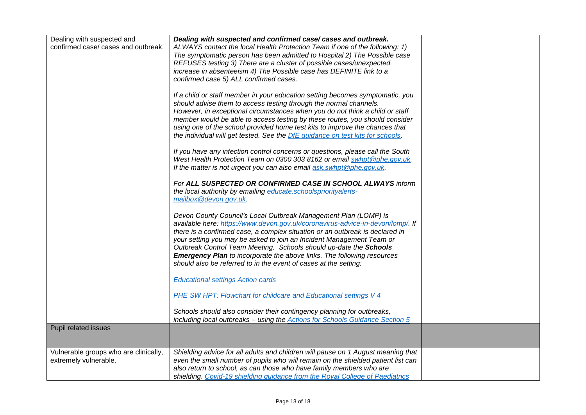| Dealing with suspected and            | Dealing with suspected and confirmed case/ cases and outbreak.                                                                                             |  |
|---------------------------------------|------------------------------------------------------------------------------------------------------------------------------------------------------------|--|
| confirmed case/ cases and outbreak.   | ALWAYS contact the local Health Protection Team if one of the following: 1)                                                                                |  |
|                                       | The symptomatic person has been admitted to Hospital 2) The Possible case                                                                                  |  |
|                                       | REFUSES testing 3) There are a cluster of possible cases/unexpected                                                                                        |  |
|                                       | increase in absenteeism 4) The Possible case has DEFINITE link to a<br>confirmed case 5) ALL confirmed cases.                                              |  |
|                                       |                                                                                                                                                            |  |
|                                       | If a child or staff member in your education setting becomes symptomatic, you                                                                              |  |
|                                       | should advise them to access testing through the normal channels.                                                                                          |  |
|                                       | However, in exceptional circumstances when you do not think a child or staff                                                                               |  |
|                                       | member would be able to access testing by these routes, you should consider<br>using one of the school provided home test kits to improve the chances that |  |
|                                       | the individual will get tested. See the DfE guidance on test kits for schools.                                                                             |  |
|                                       |                                                                                                                                                            |  |
|                                       | If you have any infection control concerns or questions, please call the South                                                                             |  |
|                                       | West Health Protection Team on 0300 303 8162 or email swhpt@phe.gov.uk.                                                                                    |  |
|                                       | If the matter is not urgent you can also email ask swhpt @phe.gov.uk.                                                                                      |  |
|                                       | For ALL SUSPECTED OR CONFIRMED CASE IN SCHOOL ALWAYS inform                                                                                                |  |
|                                       | the local authority by emailing educate.schoolspriorityalerts-                                                                                             |  |
|                                       | mailbox@devon.gov.uk.                                                                                                                                      |  |
|                                       | Devon County Council's Local Outbreak Management Plan (LOMP) is                                                                                            |  |
|                                       | available here: https://www.devon.gov.uk/coronavirus-advice-in-devon/lomp/. If                                                                             |  |
|                                       | there is a confirmed case, a complex situation or an outbreak is declared in                                                                               |  |
|                                       | your setting you may be asked to join an Incident Management Team or                                                                                       |  |
|                                       | Outbreak Control Team Meeting. Schools should up-date the Schools                                                                                          |  |
|                                       | <b>Emergency Plan</b> to incorporate the above links. The following resources<br>should also be referred to in the event of cases at the setting:          |  |
|                                       |                                                                                                                                                            |  |
|                                       | <b>Educational settings Action cards</b>                                                                                                                   |  |
|                                       | <b>PHE SW HPT: Flowchart for childcare and Educational settings V 4</b>                                                                                    |  |
|                                       |                                                                                                                                                            |  |
|                                       | Schools should also consider their contingency planning for outbreaks,                                                                                     |  |
| Pupil related issues                  | including local outbreaks - using the <b>Actions for Schools Guidance Section 5</b>                                                                        |  |
|                                       |                                                                                                                                                            |  |
|                                       |                                                                                                                                                            |  |
| Vulnerable groups who are clinically, | Shielding advice for all adults and children will pause on 1 August meaning that                                                                           |  |
| extremely vulnerable.                 | even the small number of pupils who will remain on the shielded patient list can<br>also return to school, as can those who have family members who are    |  |
|                                       | shielding. Covid-19 shielding guidance from the Royal College of Paediatrics                                                                               |  |
|                                       |                                                                                                                                                            |  |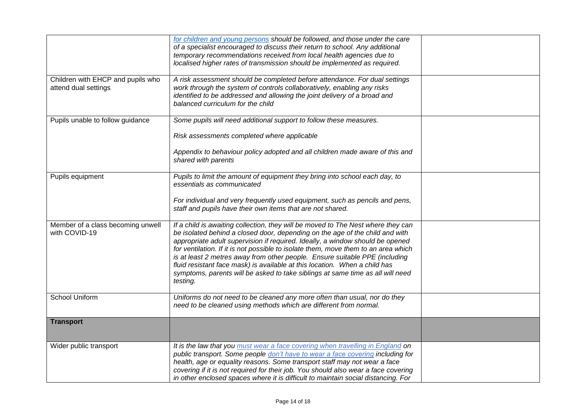|                                                           | for children and young persons should be followed, and those under the care<br>of a specialist encouraged to discuss their return to school. Any additional<br>temporary recommendations received from local health agencies due to<br>localised higher rates of transmission should be implemented as required.                                                                                                                                                                                                                                                                                   |  |
|-----------------------------------------------------------|----------------------------------------------------------------------------------------------------------------------------------------------------------------------------------------------------------------------------------------------------------------------------------------------------------------------------------------------------------------------------------------------------------------------------------------------------------------------------------------------------------------------------------------------------------------------------------------------------|--|
| Children with EHCP and pupils who<br>attend dual settings | A risk assessment should be completed before attendance. For dual settings<br>work through the system of controls collaboratively, enabling any risks<br>identified to be addressed and allowing the joint delivery of a broad and<br>balanced curriculum for the child                                                                                                                                                                                                                                                                                                                            |  |
| Pupils unable to follow guidance                          | Some pupils will need additional support to follow these measures.<br>Risk assessments completed where applicable<br>Appendix to behaviour policy adopted and all children made aware of this and<br>shared with parents                                                                                                                                                                                                                                                                                                                                                                           |  |
| Pupils equipment                                          | Pupils to limit the amount of equipment they bring into school each day, to<br>essentials as communicated<br>For individual and very frequently used equipment, such as pencils and pens,<br>staff and pupils have their own items that are not shared.                                                                                                                                                                                                                                                                                                                                            |  |
| Member of a class becoming unwell<br>with COVID-19        | If a child is awaiting collection, they will be moved to The Nest where they can<br>be isolated behind a closed door, depending on the age of the child and with<br>appropriate adult supervision if required. Ideally, a window should be opened<br>for ventilation. If it is not possible to isolate them, move them to an area which<br>is at least 2 metres away from other people. Ensure suitable PPE (including<br>fluid resistant face mask) is available at this location. When a child has<br>symptoms, parents will be asked to take siblings at same time as all will need<br>testing. |  |
| <b>School Uniform</b>                                     | Uniforms do not need to be cleaned any more often than usual, nor do they<br>need to be cleaned using methods which are different from normal.                                                                                                                                                                                                                                                                                                                                                                                                                                                     |  |
| <b>Transport</b>                                          |                                                                                                                                                                                                                                                                                                                                                                                                                                                                                                                                                                                                    |  |
| Wider public transport                                    | It is the law that you must wear a face covering when travelling in England on<br>public transport. Some people don't have to wear a face covering including for<br>health, age or equality reasons. Some transport staff may not wear a face<br>covering if it is not required for their job. You should also wear a face covering<br>in other enclosed spaces where it is difficult to maintain social distancing. For                                                                                                                                                                           |  |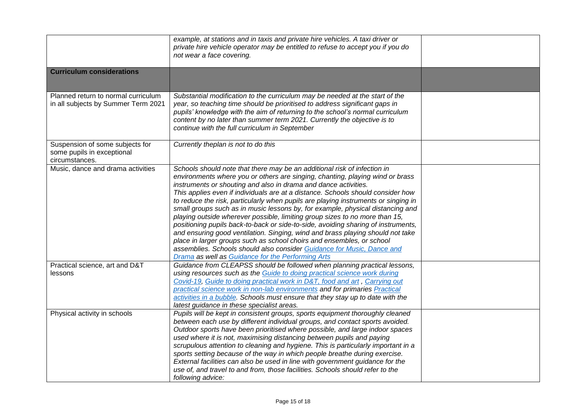|                                                                                 | example, at stations and in taxis and private hire vehicles. A taxi driver or<br>private hire vehicle operator may be entitled to refuse to accept you if you do<br>not wear a face covering.                                                                                                                                                                                                                                                                                                                                                                                                                                                                                                                                                                                                                                                                                                                                                         |  |
|---------------------------------------------------------------------------------|-------------------------------------------------------------------------------------------------------------------------------------------------------------------------------------------------------------------------------------------------------------------------------------------------------------------------------------------------------------------------------------------------------------------------------------------------------------------------------------------------------------------------------------------------------------------------------------------------------------------------------------------------------------------------------------------------------------------------------------------------------------------------------------------------------------------------------------------------------------------------------------------------------------------------------------------------------|--|
| <b>Curriculum considerations</b>                                                |                                                                                                                                                                                                                                                                                                                                                                                                                                                                                                                                                                                                                                                                                                                                                                                                                                                                                                                                                       |  |
| Planned return to normal curriculum<br>in all subjects by Summer Term 2021      | Substantial modification to the curriculum may be needed at the start of the<br>year, so teaching time should be prioritised to address significant gaps in<br>pupils' knowledge with the aim of returning to the school's normal curriculum<br>content by no later than summer term 2021. Currently the objective is to<br>continue with the full curriculum in September                                                                                                                                                                                                                                                                                                                                                                                                                                                                                                                                                                            |  |
| Suspension of some subjects for<br>some pupils in exceptional<br>circumstances. | Currently theplan is not to do this                                                                                                                                                                                                                                                                                                                                                                                                                                                                                                                                                                                                                                                                                                                                                                                                                                                                                                                   |  |
| Music, dance and drama activities                                               | Schools should note that there may be an additional risk of infection in<br>environments where you or others are singing, chanting, playing wind or brass<br>instruments or shouting and also in drama and dance activities.<br>This applies even if individuals are at a distance. Schools should consider how<br>to reduce the risk, particularly when pupils are playing instruments or singing in<br>small groups such as in music lessons by, for example, physical distancing and<br>playing outside wherever possible, limiting group sizes to no more than 15,<br>positioning pupils back-to-back or side-to-side, avoiding sharing of instruments,<br>and ensuring good ventilation. Singing, wind and brass playing should not take<br>place in larger groups such as school choirs and ensembles, or school<br>assemblies. Schools should also consider Guidance for Music, Dance and<br>Drama as well as Guidance for the Performing Arts |  |
| Practical science, art and D&T<br>lessons                                       | Guidance from CLEAPSS should be followed when planning practical lessons,<br>using resources such as the Guide to doing practical science work during<br>Covid-19, Guide to doing practical work in D&T, food and art, Carrying out<br>practical science work in non-lab environments and for primaries Practical<br>activities in a bubble. Schools must ensure that they stay up to date with the<br>latest guidance in these specialist areas.                                                                                                                                                                                                                                                                                                                                                                                                                                                                                                     |  |
| Physical activity in schools                                                    | Pupils will be kept in consistent groups, sports equipment thoroughly cleaned<br>between each use by different individual groups, and contact sports avoided.<br>Outdoor sports have been prioritised where possible, and large indoor spaces<br>used where it is not, maximising distancing between pupils and paying<br>scrupulous attention to cleaning and hygiene. This is particularly important in a<br>sports setting because of the way in which people breathe during exercise.<br>External facilities can also be used in line with government guidance for the<br>use of, and travel to and from, those facilities. Schools should refer to the<br>following advice:                                                                                                                                                                                                                                                                      |  |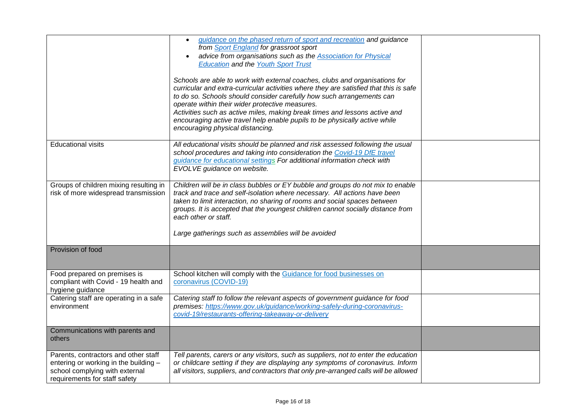|                                                                                                                                                  | guidance on the phased return of sport and recreation and guidance<br>$\bullet$<br>from Sport England for grassroot sport<br>advice from organisations such as the <b>Association for Physical</b><br><b>Education and the Youth Sport Trust</b><br>Schools are able to work with external coaches, clubs and organisations for<br>curricular and extra-curricular activities where they are satisfied that this is safe<br>to do so. Schools should consider carefully how such arrangements can<br>operate within their wider protective measures.<br>Activities such as active miles, making break times and lessons active and<br>encouraging active travel help enable pupils to be physically active while<br>encouraging physical distancing. |  |
|--------------------------------------------------------------------------------------------------------------------------------------------------|------------------------------------------------------------------------------------------------------------------------------------------------------------------------------------------------------------------------------------------------------------------------------------------------------------------------------------------------------------------------------------------------------------------------------------------------------------------------------------------------------------------------------------------------------------------------------------------------------------------------------------------------------------------------------------------------------------------------------------------------------|--|
| <b>Educational visits</b>                                                                                                                        | All educational visits should be planned and risk assessed following the usual<br>school procedures and taking into consideration the Covid-19 DfE travel<br>guidance for educational settings For additional information check with<br>EVOLVE guidance on website.                                                                                                                                                                                                                                                                                                                                                                                                                                                                                  |  |
| Groups of children mixing resulting in<br>risk of more widespread transmission                                                                   | Children will be in class bubbles or EY bubble and groups do not mix to enable<br>track and trace and self-isolation where necessary. All actions have been<br>taken to limit interaction, no sharing of rooms and social spaces between<br>groups. It is accepted that the youngest children cannot socially distance from<br>each other or staff.<br>Large gatherings such as assemblies will be avoided                                                                                                                                                                                                                                                                                                                                           |  |
| Provision of food                                                                                                                                |                                                                                                                                                                                                                                                                                                                                                                                                                                                                                                                                                                                                                                                                                                                                                      |  |
| Food prepared on premises is<br>compliant with Covid - 19 health and<br>hygiene guidance                                                         | School kitchen will comply with the Guidance for food businesses on<br>coronavirus (COVID-19)                                                                                                                                                                                                                                                                                                                                                                                                                                                                                                                                                                                                                                                        |  |
| Catering staff are operating in a safe<br>environment                                                                                            | Catering staff to follow the relevant aspects of government guidance for food<br>premises: https://www.gov.uk/guidance/working-safely-during-coronavirus-<br>covid-19/restaurants-offering-takeaway-or-delivery                                                                                                                                                                                                                                                                                                                                                                                                                                                                                                                                      |  |
| Communications with parents and<br>others                                                                                                        |                                                                                                                                                                                                                                                                                                                                                                                                                                                                                                                                                                                                                                                                                                                                                      |  |
| Parents, contractors and other staff<br>entering or working in the building -<br>school complying with external<br>requirements for staff safety | Tell parents, carers or any visitors, such as suppliers, not to enter the education<br>or childcare setting if they are displaying any symptoms of coronavirus. Inform<br>all visitors, suppliers, and contractors that only pre-arranged calls will be allowed                                                                                                                                                                                                                                                                                                                                                                                                                                                                                      |  |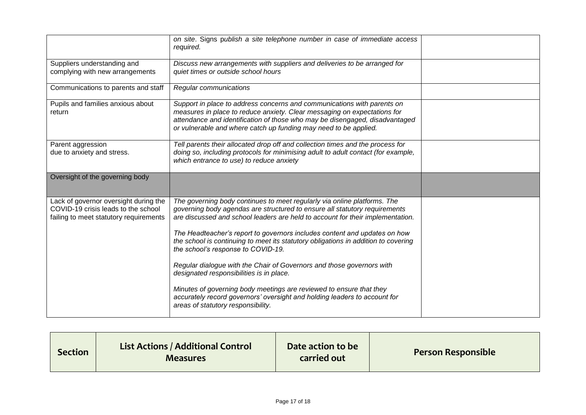|                                                                                                                        | on site. Signs publish a site telephone number in case of immediate access<br>required.                                                                                                                                                                                                                |  |
|------------------------------------------------------------------------------------------------------------------------|--------------------------------------------------------------------------------------------------------------------------------------------------------------------------------------------------------------------------------------------------------------------------------------------------------|--|
| Suppliers understanding and<br>complying with new arrangements                                                         | Discuss new arrangements with suppliers and deliveries to be arranged for<br>quiet times or outside school hours                                                                                                                                                                                       |  |
| Communications to parents and staff                                                                                    | Regular communications                                                                                                                                                                                                                                                                                 |  |
| Pupils and families anxious about<br>return                                                                            | Support in place to address concerns and communications with parents on<br>measures in place to reduce anxiety. Clear messaging on expectations for<br>attendance and identification of those who may be disengaged, disadvantaged<br>or vulnerable and where catch up funding may need to be applied. |  |
| Parent aggression<br>due to anxiety and stress.                                                                        | Tell parents their allocated drop off and collection times and the process for<br>doing so, including protocols for minimising adult to adult contact (for example,<br>which entrance to use) to reduce anxiety                                                                                        |  |
| Oversight of the governing body                                                                                        |                                                                                                                                                                                                                                                                                                        |  |
| Lack of governor oversight during the<br>COVID-19 crisis leads to the school<br>failing to meet statutory requirements | The governing body continues to meet regularly via online platforms. The<br>governing body agendas are structured to ensure all statutory requirements<br>are discussed and school leaders are held to account for their implementation.                                                               |  |
|                                                                                                                        | The Headteacher's report to governors includes content and updates on how<br>the school is continuing to meet its statutory obligations in addition to covering<br>the school's response to COVID-19.                                                                                                  |  |
|                                                                                                                        | Regular dialogue with the Chair of Governors and those governors with<br>designated responsibilities is in place.                                                                                                                                                                                      |  |
|                                                                                                                        | Minutes of governing body meetings are reviewed to ensure that they<br>accurately record governors' oversight and holding leaders to account for<br>areas of statutory responsibility.                                                                                                                 |  |

| <b>Section</b> | List Actions / Additional Control<br><b>Measures</b> | Date action to be<br>carried out | Person Responsible |
|----------------|------------------------------------------------------|----------------------------------|--------------------|
|----------------|------------------------------------------------------|----------------------------------|--------------------|